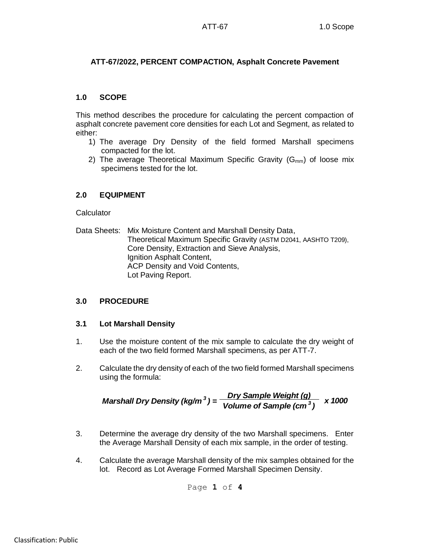# **ATT-67/2022, PERCENT COMPACTION, Asphalt Concrete Pavement**

## **1.0 SCOPE**

This method describes the procedure for calculating the percent compaction of asphalt concrete pavement core densities for each Lot and Segment, as related to either:

- 1) The average Dry Density of the field formed Marshall specimens compacted for the lot.
- 2) The average Theoretical Maximum Specific Gravity  $(G_{mm})$  of loose mix specimens tested for the lot.

# **2.0 EQUIPMENT**

**Calculator** 

Data Sheets: Mix Moisture Content and Marshall Density Data, Theoretical Maximum Specific Gravity (ASTM D2041, AASHTO T209), Core Density, Extraction and Sieve Analysis, Ignition Asphalt Content, ACP Density and Void Contents, Lot Paving Report.

# **3.0 PROCEDURE**

# **3.1 Lot Marshall Density**

- 1. Use the moisture content of the mix sample to calculate the dry weight of each of the two field formed Marshall specimens, as per ATT-7.
- 2. Calculate the dry density of each of the two field formed Marshall specimens using the formula:

**Marshall Dry Density** (kg/m<sup>3</sup>) = 
$$
\frac{Dry Sample Weight (g)}{ Volume of Sample (cm3)} \times 1000
$$

- 3. Determine the average dry density of the two Marshall specimens. Enter the Average Marshall Density of each mix sample, in the order of testing.
- 4. Calculate the average Marshall density of the mix samples obtained for the lot. Record as Lot Average Formed Marshall Specimen Density.

Page **1** of **4**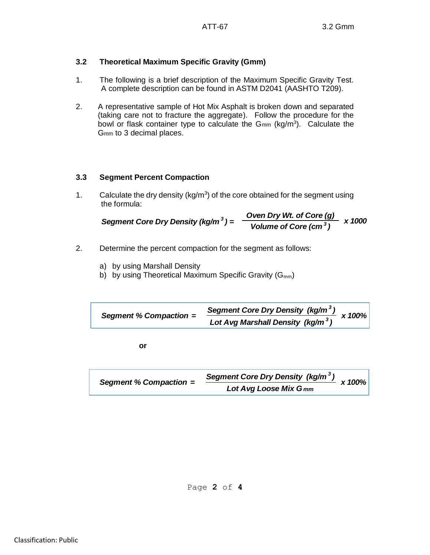# **3.2 Theoretical Maximum Specific Gravity (Gmm)**

- 1. The following is a brief description of the Maximum Specific Gravity Test. A complete description can be found in ASTM D2041 (AASHTO T209).
- 2. A representative sample of Hot Mix Asphalt is broken down and separated (taking care not to fracture the aggregate). Follow the procedure for the bowl or flask container type to calculate the  $G_{mm}$  (kg/m<sup>3</sup>). Calculate the Gmm to 3 decimal places.

# **3.3 Segment Percent Compaction**

1. Calculate the dry density ( $kg/m<sup>3</sup>$ ) of the core obtained for the segment using the formula:

Segment Core Dry Density (kg/m<sup>3</sup>) = 
$$
\frac{\text{Oven Dry Wt. of Core (g)}}{\text{Volume of Core (cm}^3)} \times 1000
$$

- 2. Determine the percent compaction for the segment as follows:
	- a) by using Marshall Density
	- b) by using Theoretical Maximum Specific Gravity  $(G_{mm})$

Segment % Compaction =  $\frac{Gg_{\text{min}}}{Gg_{\text{max}} + g_{\text{max}} + g_{\text{max}} + g_{\text{max}} + g_{\text{max}} + g_{\text{max}} + g_{\text{max}} + g_{\text{max}} + g_{\text{max}} + g_{\text{max}} + g_{\text{max}} + g_{\text{max}} + g_{\text{max}} + g_{\text{max}} + g_{\text{max}} + g_{\text{max}} + g_{\text{max}} + g_{\text{max}} + g_{\text{max}} + g_{\text{max}} + g_{\text{max}} + g_{\text{max}} + g_{\text{max}} +$ *Segment Core Dry Density (kg/m <sup>3</sup> ) Lot Avg Marshall Density (kg/m <sup>3</sup> )*

**or**

| Segment % Compaction $=$ | Segment Core Dry Density (kg/m <sup>3</sup> ) | x 100% |
|--------------------------|-----------------------------------------------|--------|
|                          | Lot Avg Loose Mix G <sub>mm</sub>             |        |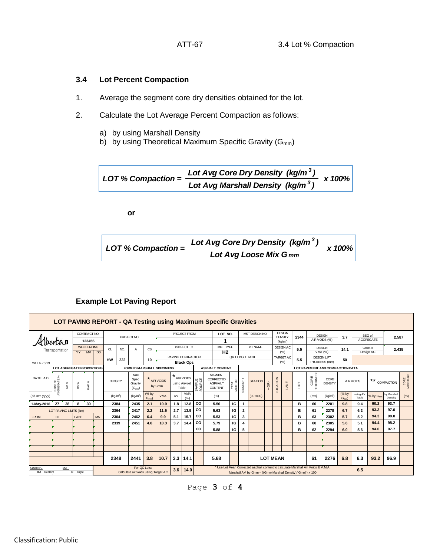## **3.4 Lot Percent Compaction**

- 1. Average the segment core dry densities obtained for the lot.
- 2. Calculate the Lot Average Percent Compaction as follows:
	- a) by using Marshall Density
	- b) by using Theoretical Maximum Specific Gravity (G<sub>mm</sub>)

$$
LOT % Compaction = \frac{Lot Avg Core Dry Density (kg/m3)}{Lot Avg Marshall Density (kg/m3)} \times 100\%
$$

**or**

$$
LOT % Compaction = \frac{Lot Avg Core Dry Density (kg/m3)}{Lot Avg Loose Mix Gmm} \times 100%
$$

#### **Fic**<br>
<u>T NC</u><br>
1<br>
H2<br>
2 **LOT PAVING REPORT - QA Testing using Maximum Specific Gravities**<br> **VALUE 123456**<br> **VALUE AND CONTRACT OF A CS PROJECT TO MAXIMITY AND CONTRACT OF A CS PROJECT OF A MAXIMITY CONTRACTOR**<br> **VALUE AND CONTRACTOR** PROPERTY OF CONTRACT NO. **PROJECT FROM LOT NO.** MST DESIGN NO. DESIGN<br>DENSITY PROJECT NO. **2344** DESIGN PROJECT NO. **2344** DENSITY 2004 **DESIGN 3.7** BSG of BSG (%) 3.7 AGGREGATE **2.587** Mbertar **<sup>123456</sup> 1**  $(kg/m<sup>3</sup>)$ MIX TYPE PIT NAME DESIGN AC **5.5** DESIGN **14.1 14.1** Transportation WEEK ENDING CL NO. A CS PROJECT TO Design AC Gmm at **2.435** THICKNESS THE MARY ONE SEARCHES SEARCHES SEARCHES SEARCHES SEARCHES SEARCHES SEARCHES SEARCHES SEARCHES SEARCHES<br>
SEARCHES SEARCHES SEARCHES SEARCHES SEARCHES SEARCHES SEARCHES SEARCHES SEARCHES SEARCHES SEARCHES SEARCHES PAVING CONTRACTOR QA CONSULTANT TARGET ACCHERAGES THICKNESS (mm) **5.5 <sup>50</sup> 10 HW** 222 10 **PAUDISCULLARE OR CONSULTANT** TARGET AC 5.5 **DESIGNLET Black Ops** Black Ops<br>
MR VOIDS<br>
WAR VOIDS<br>
US US US US VIVAL<br>
Table<br>
VMA AV V<sup>V</sup>A<br>
10.9 1.8 12.8 MAT 6-78/19 **27 28 8 30 2204 2435 2.11 10.9 1.8 2.12 11.6 2.7 13.5 CO 5.56 13 12.8 2447 2.24 2447 2.24 14.6 2.7 13.5 CO 5.63 14.8 14.8 14.8 14.8 14.8 14.8 14.8 14.9 LOT AGGREGATE PROPORTIONS FORMED MARSHALL SPECIMENS ASPHALT CONTENT LOT PAVEMENT AND COMPACTION DATA** DENSITY AIR VOIDS **\*\*** COMPACTION  $\frac{u}{\frac{u}{c}}$ <br>
CORE AIR VOIDS **\*\*** COMPACTION  $\frac{u}{c}$ <br>
(kg/m<sup>3</sup>)  $\frac{(% by) usina/V}{G_{\text{min}}}$  Table % by G<sub>mm</sub> by Marshall (%) **2418 2.1 10.9 1 2.7 11.6 2.7 11.6 2.7 11.6 2.7 11.6 2.7 11.6 2.7 11.6 2.7 11.6 2.7 11.6 2.7 11.6 2.7 11.6 2.7 11.6 2.7 11.6 2.7 11.6 2.7 11.6 2.7 11.6 2.** Max SEGMENT DATE LAID .<br>AIR VOIDS FROM TO LANE MAT **<sup>2462</sup> 6.4 9.9 5.1 15.7 CO I G <sup>3</sup> <sup>B</sup> <sup>63</sup> <sup>2302</sup> 5.7 5.2 94.3 98.0** COARSE AGGREGATE % MF % BS % RAP % + OR - DENSITY SPEC **\*** AIR VOIDS  $\begin{bmatrix} 0 & 0 & 0 \\ 0 & 0 & 0 \end{bmatrix}$   $\begin{bmatrix} 0 & 0 \\ 0 & 0 \end{bmatrix}$   $\begin{bmatrix} 0 & 0 \\ 0 & 0 \end{bmatrix}$   $\begin{bmatrix} 0 & 0 \\ 0 & 0 \end{bmatrix}$   $\begin{bmatrix} 0 & 0 \\ 0 & 0 \end{bmatrix}$   $\begin{bmatrix} 0 & 0 \\ 0 & 0 \end{bmatrix}$   $\begin{bmatrix} 0 & 0 \\ 0 & 0 \end{bmatrix}$   $\begin{bmatrix$ CORE<br>DENSITY Spec \* AIR VOIDS<br>by Gmm<br> $\frac{\% \text{ by } \text{Gmm}}{\text{Gmm}}$  VMA<br>2.1 10.9 CORRECTED<br>
ASPHALT<br>
CONTENT TEST STATION  $\begin{bmatrix} 1 & 1 \\ 0 & 0 \\ 0 & 0 \end{bmatrix}$   $\begin{bmatrix} 2 & 1 \\ 3 & 1 \\ 4 & 5 \end{bmatrix}$   $\begin{bmatrix} 1 & 1 \\ 2 & 1 \\ 5 & 1 \end{bmatrix}$ Alf<br> $\frac{96 \text{ by}}{G_{\text{mm}}(9.8)}$ AIR VOIDS<br>by Gmm using Airvoid  $\frac{u}{\text{log }u}$ <br>Table  $\frac{v}{\text{log }u}$ \*\* COMPACTION SEGMENT Gravity<br>(G<sub>mm</sub>) **2435 2.1 10.9 14.6 2.7 13.5 2.6 10.8 14.6 14.6 14.6 14.6 14.6 14.6 14.6 14.6 14.6 14.6 14.6 14.6 14.6 14.6 14.6 14.6 14.6 14.6 14.6 14.6 14.6 14.6 14.6 14.6** (dd-mm-yyyy) (kg/m<sup>3</sup> **CO EXECUTE:**  $\frac{1}{2}$  **EV**  $\frac{1}{2}$  **EV**  $\frac{1}{2}$  **CO I**  $\frac{1}{2}$  **EV**  $\frac{1}{2}$  **EV**  $\frac{1}{2}$  **CO EXECUTE: EXECUTE: EXECUTE: EXECUTE: EXECUTE: EXECUTE: EXECUTE: EXECUTE: EXECUTE: EXECUTE: E** (% by  $(\text{kg}/\text{m}^3)$ (% by using AV Marshall (%) )  $(kg/m^3)$   $\begin{matrix} 0 & 0 & 0 \\ 0 & 0 & 0 \end{matrix}$  VMA AV  $\begin{matrix} 0 & 0 \\ 0 & 0 \end{matrix}$  (%)  $\begin{matrix} 0 & 0 \\ 0 & 0 \end{matrix}$  (00+000)  $(kg/m<sup>3</sup>)$ (%) (%) (00+000) (1 (mm) (kg/m<sup>3</sup>) **1-May-2018 2384 5.56** LOT PAVING LIMITS (km) **2364 5.63 2304 5.53 2339 5.79 5.88** ADDITIVE RA Reclaim<br>RA Reclaim<br>CRA Reclaim **R A** Reclaim **R A** Reclaim **2348 2441 3.8 96.9 3.3 14.1 5.68 LOT MEAN 61 10.7 2276 6.8 6.3 93.2** For QC Lots: Calculate air voids using Target AC **3.6 14.0** <sup>\*</sup> Use Lot Mean Corrected asphalt content to calculate Marshall Air Voids & V.M.A. **6.5**<br>Marshall AV by Gmm = ((Gmm-Marshall Density)/ Gmm)) x 100 **R** Right **L** Left

# **Example Lot Paving Report**

Page **3** of **4**